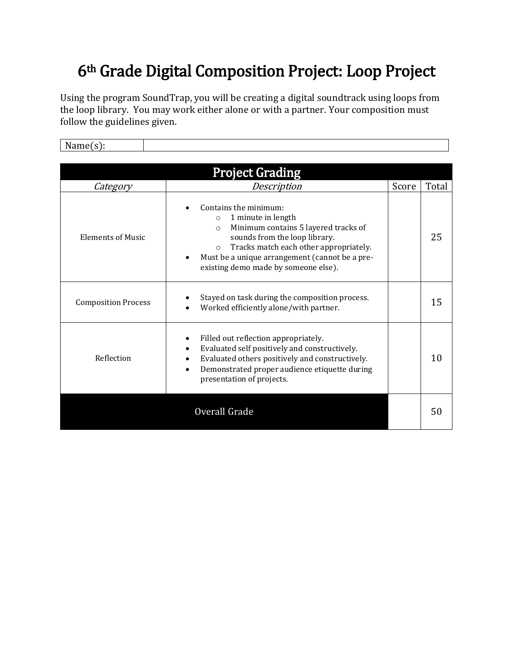## 6th Grade Digital Composition Project: Loop Project

Using the program SoundTrap, you will be creating a digital soundtrack using loops from the loop library. You may work either alone or with a partner. Your composition must follow the guidelines given.

Name(s):

| <b>Project Grading</b>     |                                                                                                                                                                                                                                                                                                        |       |       |  |  |  |
|----------------------------|--------------------------------------------------------------------------------------------------------------------------------------------------------------------------------------------------------------------------------------------------------------------------------------------------------|-------|-------|--|--|--|
| Category                   | Description                                                                                                                                                                                                                                                                                            | Score | Total |  |  |  |
| <b>Elements of Music</b>   | Contains the minimum:<br>1 minute in length<br>$\circ$<br>Minimum contains 5 layered tracks of<br>$\circ$<br>sounds from the loop library.<br>Tracks match each other appropriately.<br>$\circ$<br>Must be a unique arrangement (cannot be a pre-<br>$\bullet$<br>existing demo made by someone else). |       | 25    |  |  |  |
| <b>Composition Process</b> | Stayed on task during the composition process.<br>Worked efficiently alone/with partner.                                                                                                                                                                                                               |       | 15    |  |  |  |
| Reflection                 | Filled out reflection appropriately.<br>Evaluated self positively and constructively.<br>Evaluated others positively and constructively.<br>Demonstrated proper audience etiquette during<br>$\bullet$<br>presentation of projects.                                                                    |       | 10    |  |  |  |
|                            | Overall Grade                                                                                                                                                                                                                                                                                          |       | 50    |  |  |  |